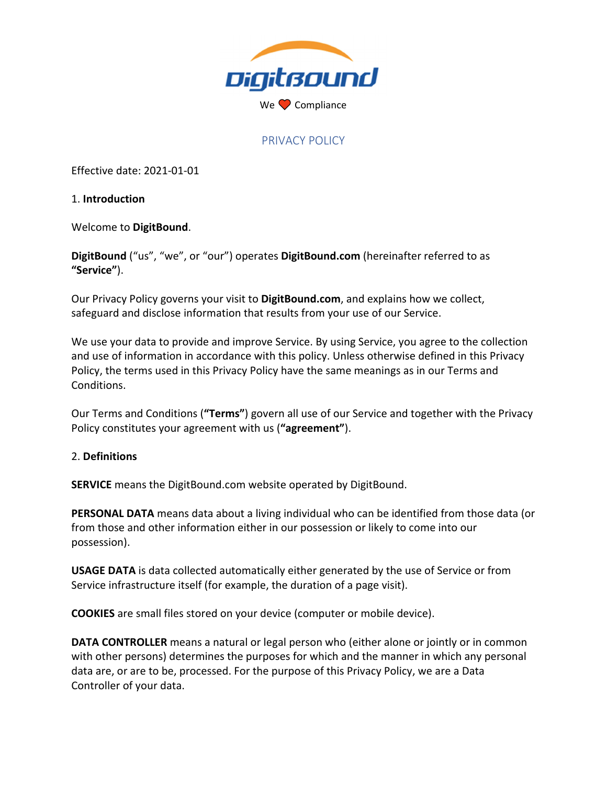

## PRIVACY POLICY

Effective date: 2021‐01‐01

1. **Introduction**

Welcome to **DigitBound**.

**DigitBound** ("us", "we", or "our") operates **DigitBound.com** (hereinafter referred to as **"Service"**).

Our Privacy Policy governs your visit to **DigitBound.com**, and explains how we collect, safeguard and disclose information that results from your use of our Service.

We use your data to provide and improve Service. By using Service, you agree to the collection and use of information in accordance with this policy. Unless otherwise defined in this Privacy Policy, the terms used in this Privacy Policy have the same meanings as in our Terms and Conditions.

Our Terms and Conditions (**"Terms"**) govern all use of our Service and together with the Privacy Policy constitutes your agreement with us (**"agreement"**).

#### 2. **Definitions**

**SERVICE** means the DigitBound.com website operated by DigitBound.

**PERSONAL DATA** means data about a living individual who can be identified from those data (or from those and other information either in our possession or likely to come into our possession).

**USAGE DATA** is data collected automatically either generated by the use of Service or from Service infrastructure itself (for example, the duration of a page visit).

**COOKIES** are small files stored on your device (computer or mobile device).

**DATA CONTROLLER** means a natural or legal person who (either alone or jointly or in common with other persons) determines the purposes for which and the manner in which any personal data are, or are to be, processed. For the purpose of this Privacy Policy, we are a Data Controller of your data.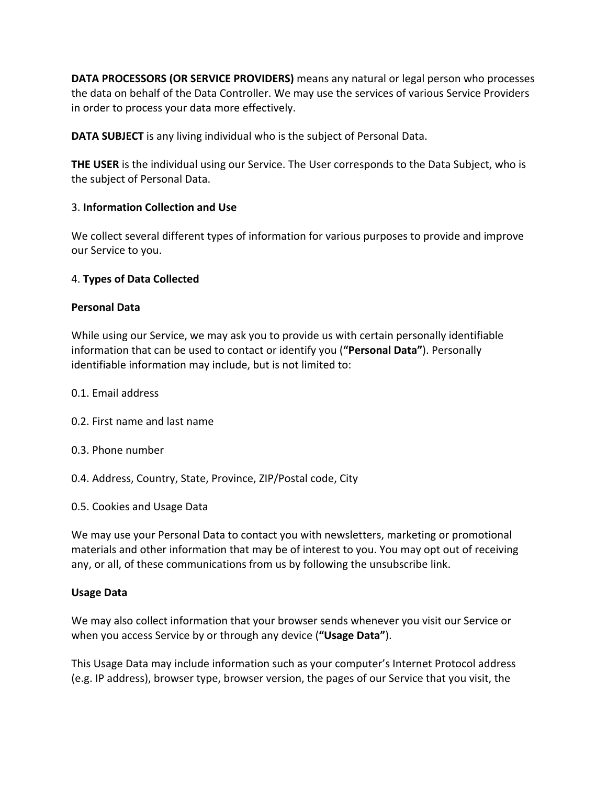**DATA PROCESSORS (OR SERVICE PROVIDERS)** means any natural or legal person who processes the data on behalf of the Data Controller. We may use the services of various Service Providers in order to process your data more effectively.

**DATA SUBJECT** is any living individual who is the subject of Personal Data.

**THE USER** is the individual using our Service. The User corresponds to the Data Subject, who is the subject of Personal Data.

### 3. **Information Collection and Use**

We collect several different types of information for various purposes to provide and improve our Service to you.

#### 4. **Types of Data Collected**

#### **Personal Data**

While using our Service, we may ask you to provide us with certain personally identifiable information that can be used to contact or identify you (**"Personal Data"**). Personally identifiable information may include, but is not limited to:

- 0.1. Email address
- 0.2. First name and last name
- 0.3. Phone number
- 0.4. Address, Country, State, Province, ZIP/Postal code, City
- 0.5. Cookies and Usage Data

We may use your Personal Data to contact you with newsletters, marketing or promotional materials and other information that may be of interest to you. You may opt out of receiving any, or all, of these communications from us by following the unsubscribe link.

#### **Usage Data**

We may also collect information that your browser sends whenever you visit our Service or when you access Service by or through any device (**"Usage Data"**).

This Usage Data may include information such as your computer's Internet Protocol address (e.g. IP address), browser type, browser version, the pages of our Service that you visit, the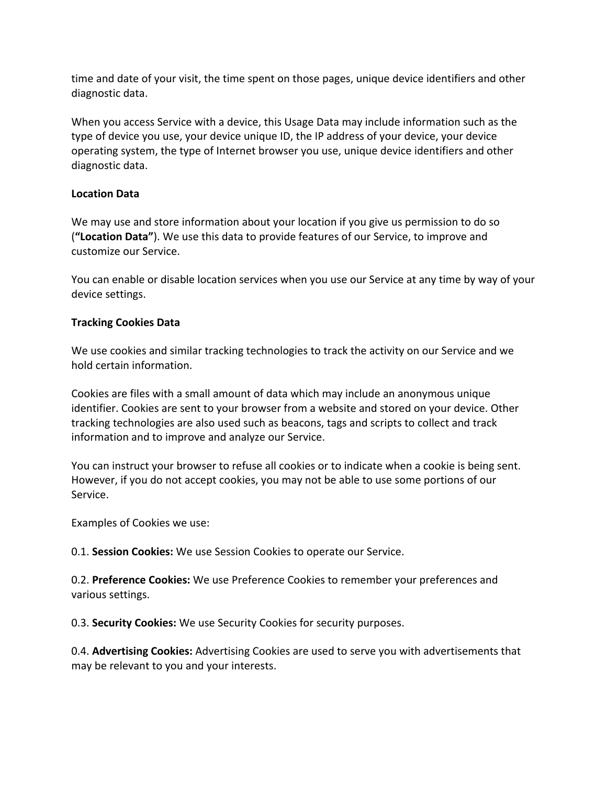time and date of your visit, the time spent on those pages, unique device identifiers and other diagnostic data.

When you access Service with a device, this Usage Data may include information such as the type of device you use, your device unique ID, the IP address of your device, your device operating system, the type of Internet browser you use, unique device identifiers and other diagnostic data.

# **Location Data**

We may use and store information about your location if you give us permission to do so (**"Location Data"**). We use this data to provide features of our Service, to improve and customize our Service.

You can enable or disable location services when you use our Service at any time by way of your device settings.

## **Tracking Cookies Data**

We use cookies and similar tracking technologies to track the activity on our Service and we hold certain information.

Cookies are files with a small amount of data which may include an anonymous unique identifier. Cookies are sent to your browser from a website and stored on your device. Other tracking technologies are also used such as beacons, tags and scripts to collect and track information and to improve and analyze our Service.

You can instruct your browser to refuse all cookies or to indicate when a cookie is being sent. However, if you do not accept cookies, you may not be able to use some portions of our Service.

Examples of Cookies we use:

0.1. **Session Cookies:** We use Session Cookies to operate our Service.

0.2. **Preference Cookies:** We use Preference Cookies to remember your preferences and various settings.

0.3. **Security Cookies:** We use Security Cookies for security purposes.

0.4. **Advertising Cookies:** Advertising Cookies are used to serve you with advertisements that may be relevant to you and your interests.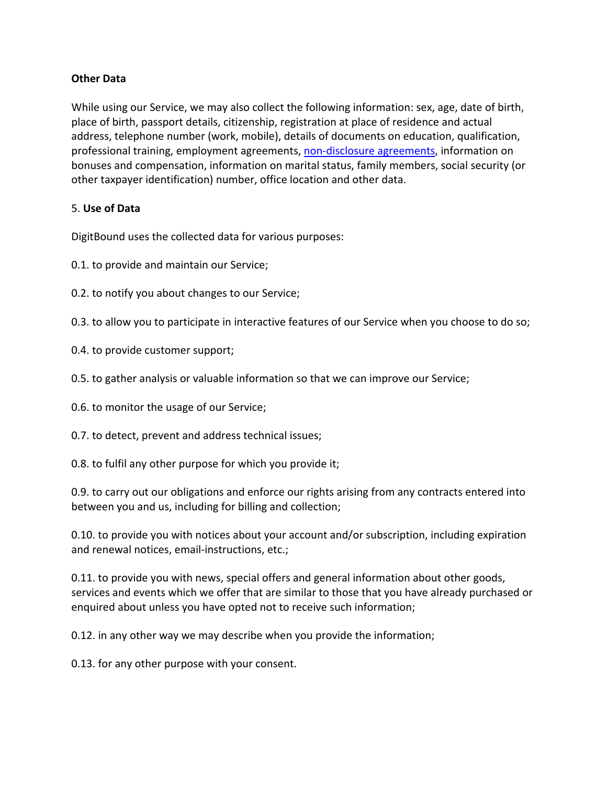### **Other Data**

While using our Service, we may also collect the following information: sex, age, date of birth, place of birth, passport details, citizenship, registration at place of residence and actual address, telephone number (work, mobile), details of documents on education, qualification, professional training, employment agreements, non‐disclosure agreements, information on bonuses and compensation, information on marital status, family members, social security (or other taxpayer identification) number, office location and other data.

### 5. **Use of Data**

DigitBound uses the collected data for various purposes:

- 0.1. to provide and maintain our Service;
- 0.2. to notify you about changes to our Service;
- 0.3. to allow you to participate in interactive features of our Service when you choose to do so;
- 0.4. to provide customer support;
- 0.5. to gather analysis or valuable information so that we can improve our Service;
- 0.6. to monitor the usage of our Service;
- 0.7. to detect, prevent and address technical issues;
- 0.8. to fulfil any other purpose for which you provide it;

0.9. to carry out our obligations and enforce our rights arising from any contracts entered into between you and us, including for billing and collection;

0.10. to provide you with notices about your account and/or subscription, including expiration and renewal notices, email‐instructions, etc.;

0.11. to provide you with news, special offers and general information about other goods, services and events which we offer that are similar to those that you have already purchased or enquired about unless you have opted not to receive such information;

0.12. in any other way we may describe when you provide the information;

0.13. for any other purpose with your consent.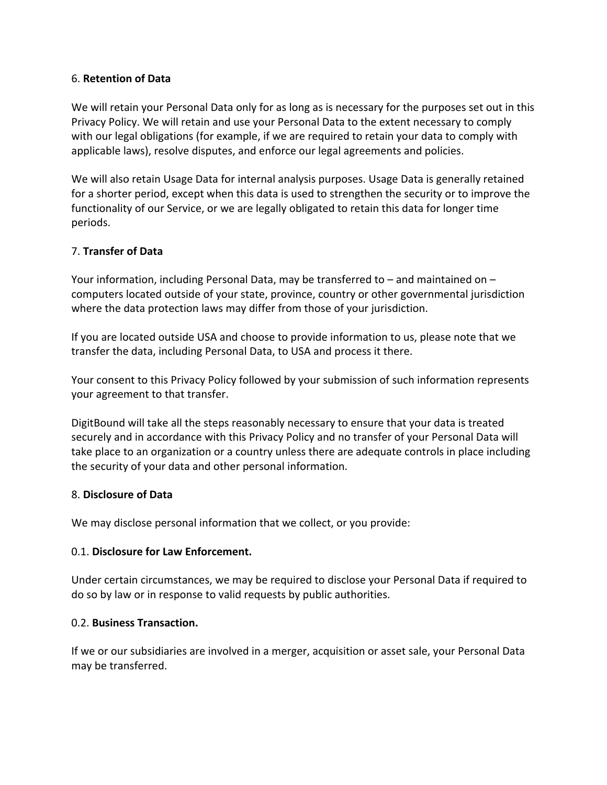### 6. **Retention of Data**

We will retain your Personal Data only for as long as is necessary for the purposes set out in this Privacy Policy. We will retain and use your Personal Data to the extent necessary to comply with our legal obligations (for example, if we are required to retain your data to comply with applicable laws), resolve disputes, and enforce our legal agreements and policies.

We will also retain Usage Data for internal analysis purposes. Usage Data is generally retained for a shorter period, except when this data is used to strengthen the security or to improve the functionality of our Service, or we are legally obligated to retain this data for longer time periods.

### 7. **Transfer of Data**

Your information, including Personal Data, may be transferred to – and maintained on – computers located outside of your state, province, country or other governmental jurisdiction where the data protection laws may differ from those of your jurisdiction.

If you are located outside USA and choose to provide information to us, please note that we transfer the data, including Personal Data, to USA and process it there.

Your consent to this Privacy Policy followed by your submission of such information represents your agreement to that transfer.

DigitBound will take all the steps reasonably necessary to ensure that your data is treated securely and in accordance with this Privacy Policy and no transfer of your Personal Data will take place to an organization or a country unless there are adequate controls in place including the security of your data and other personal information.

#### 8. **Disclosure of Data**

We may disclose personal information that we collect, or you provide:

#### 0.1. **Disclosure for Law Enforcement.**

Under certain circumstances, we may be required to disclose your Personal Data if required to do so by law or in response to valid requests by public authorities.

#### 0.2. **Business Transaction.**

If we or our subsidiaries are involved in a merger, acquisition or asset sale, your Personal Data may be transferred.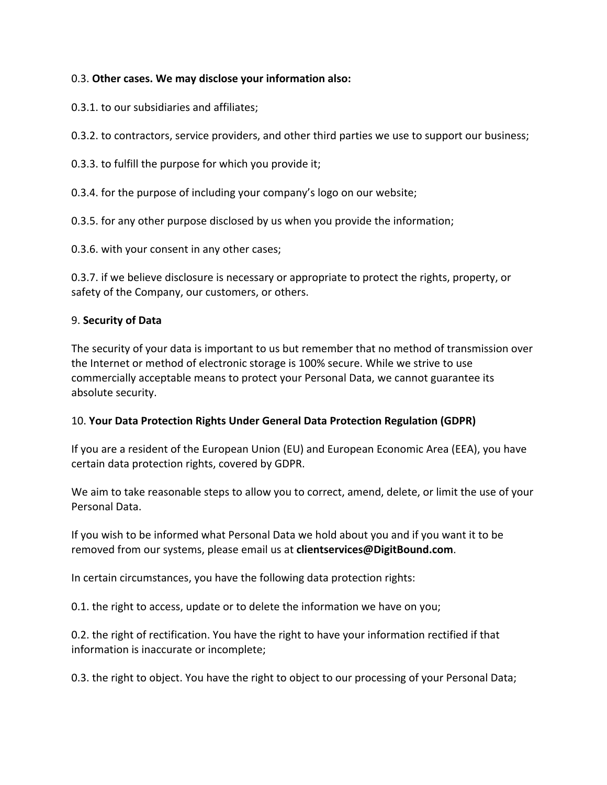## 0.3. **Other cases. We may disclose your information also:**

0.3.1. to our subsidiaries and affiliates;

0.3.2. to contractors, service providers, and other third parties we use to support our business;

0.3.3. to fulfill the purpose for which you provide it;

0.3.4. for the purpose of including your company's logo on our website;

0.3.5. for any other purpose disclosed by us when you provide the information;

0.3.6. with your consent in any other cases;

0.3.7. if we believe disclosure is necessary or appropriate to protect the rights, property, or safety of the Company, our customers, or others.

# 9. **Security of Data**

The security of your data is important to us but remember that no method of transmission over the Internet or method of electronic storage is 100% secure. While we strive to use commercially acceptable means to protect your Personal Data, we cannot guarantee its absolute security.

## 10. **Your Data Protection Rights Under General Data Protection Regulation (GDPR)**

If you are a resident of the European Union (EU) and European Economic Area (EEA), you have certain data protection rights, covered by GDPR.

We aim to take reasonable steps to allow you to correct, amend, delete, or limit the use of your Personal Data.

If you wish to be informed what Personal Data we hold about you and if you want it to be removed from our systems, please email us at **clientservices@DigitBound.com**.

In certain circumstances, you have the following data protection rights:

0.1. the right to access, update or to delete the information we have on you;

0.2. the right of rectification. You have the right to have your information rectified if that information is inaccurate or incomplete;

0.3. the right to object. You have the right to object to our processing of your Personal Data;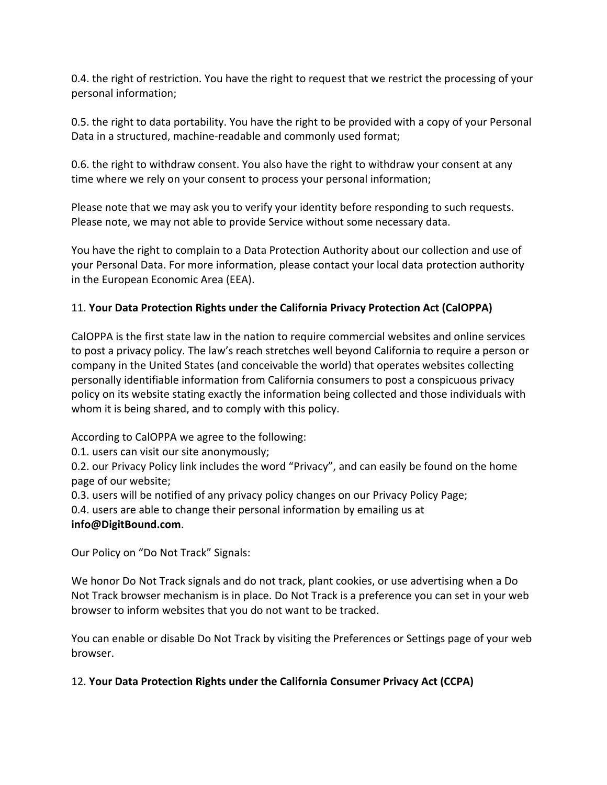0.4. the right of restriction. You have the right to request that we restrict the processing of your personal information;

0.5. the right to data portability. You have the right to be provided with a copy of your Personal Data in a structured, machine‐readable and commonly used format;

0.6. the right to withdraw consent. You also have the right to withdraw your consent at any time where we rely on your consent to process your personal information;

Please note that we may ask you to verify your identity before responding to such requests. Please note, we may not able to provide Service without some necessary data.

You have the right to complain to a Data Protection Authority about our collection and use of your Personal Data. For more information, please contact your local data protection authority in the European Economic Area (EEA).

# 11. **Your Data Protection Rights under the California Privacy Protection Act (CalOPPA)**

CalOPPA is the first state law in the nation to require commercial websites and online services to post a privacy policy. The law's reach stretches well beyond California to require a person or company in the United States (and conceivable the world) that operates websites collecting personally identifiable information from California consumers to post a conspicuous privacy policy on its website stating exactly the information being collected and those individuals with whom it is being shared, and to comply with this policy.

According to CalOPPA we agree to the following:

0.1. users can visit our site anonymously;

0.2. our Privacy Policy link includes the word "Privacy", and can easily be found on the home page of our website;

0.3. users will be notified of any privacy policy changes on our Privacy Policy Page;

0.4. users are able to change their personal information by emailing us at **info@DigitBound.com**.

Our Policy on "Do Not Track" Signals:

We honor Do Not Track signals and do not track, plant cookies, or use advertising when a Do Not Track browser mechanism is in place. Do Not Track is a preference you can set in your web browser to inform websites that you do not want to be tracked.

You can enable or disable Do Not Track by visiting the Preferences or Settings page of your web browser.

12. **Your Data Protection Rights under the California Consumer Privacy Act (CCPA)**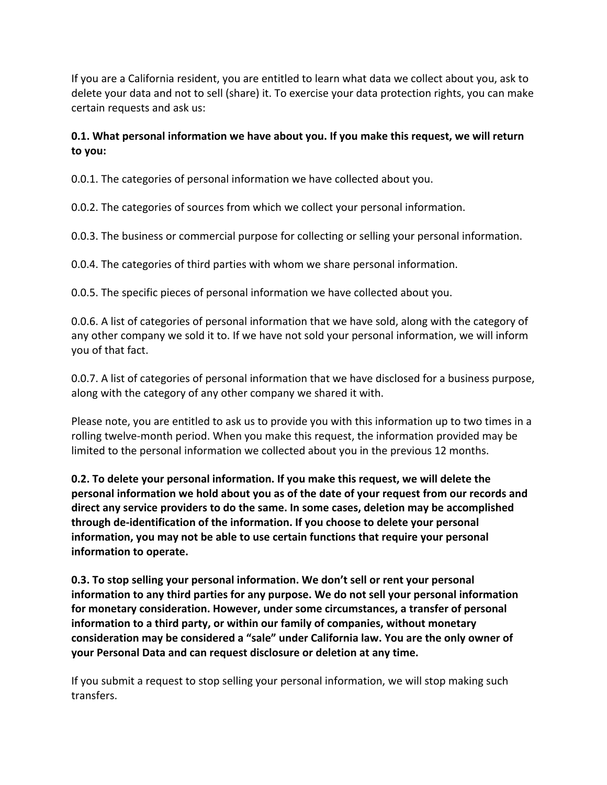If you are a California resident, you are entitled to learn what data we collect about you, ask to delete your data and not to sell (share) it. To exercise your data protection rights, you can make certain requests and ask us:

# **0.1. What personal information we have about you. If you make this request, we will return to you:**

0.0.1. The categories of personal information we have collected about you.

0.0.2. The categories of sources from which we collect your personal information.

0.0.3. The business or commercial purpose for collecting or selling your personal information.

0.0.4. The categories of third parties with whom we share personal information.

0.0.5. The specific pieces of personal information we have collected about you.

0.0.6. A list of categories of personal information that we have sold, along with the category of any other company we sold it to. If we have not sold your personal information, we will inform you of that fact.

0.0.7. A list of categories of personal information that we have disclosed for a business purpose, along with the category of any other company we shared it with.

Please note, you are entitled to ask us to provide you with this information up to two times in a rolling twelve‐month period. When you make this request, the information provided may be limited to the personal information we collected about you in the previous 12 months.

**0.2. To delete your personal information. If you make this request, we will delete the personal information we hold about you as of the date of your request from our records and direct any service providers to do the same. In some cases, deletion may be accomplished through de‐identification of the information. If you choose to delete your personal information, you may not be able to use certain functions that require your personal information to operate.**

**0.3. To stop selling your personal information. We don't sell or rent your personal information to any third parties for any purpose. We do not sell your personal information for monetary consideration. However, under some circumstances, a transfer of personal information to a third party, or within our family of companies, without monetary consideration may be considered a "sale" under California law. You are the only owner of your Personal Data and can request disclosure or deletion at any time.**

If you submit a request to stop selling your personal information, we will stop making such transfers.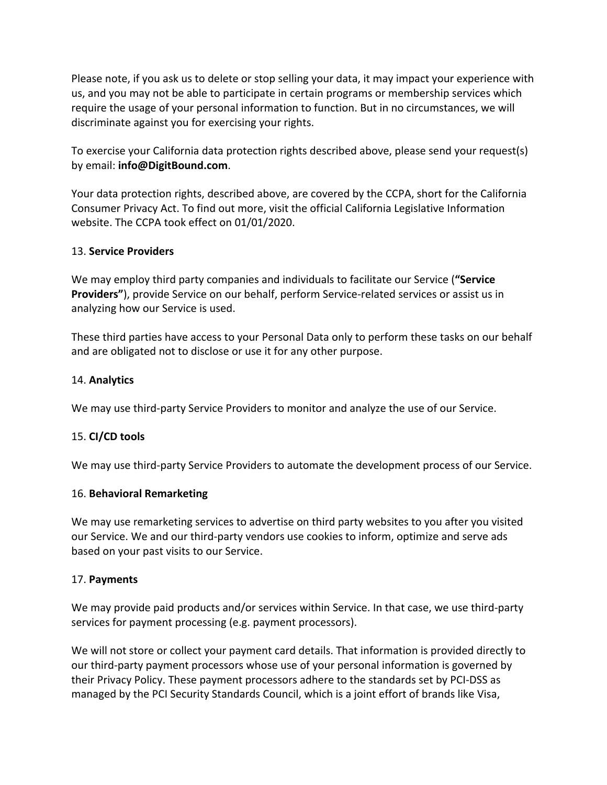Please note, if you ask us to delete or stop selling your data, it may impact your experience with us, and you may not be able to participate in certain programs or membership services which require the usage of your personal information to function. But in no circumstances, we will discriminate against you for exercising your rights.

To exercise your California data protection rights described above, please send your request(s) by email: **info@DigitBound.com**.

Your data protection rights, described above, are covered by the CCPA, short for the California Consumer Privacy Act. To find out more, visit the official California Legislative Information website. The CCPA took effect on 01/01/2020.

### 13. **Service Providers**

We may employ third party companies and individuals to facilitate our Service (**"Service** Providers"), provide Service on our behalf, perform Service-related services or assist us in analyzing how our Service is used.

These third parties have access to your Personal Data only to perform these tasks on our behalf and are obligated not to disclose or use it for any other purpose.

### 14. **Analytics**

We may use third‐party Service Providers to monitor and analyze the use of our Service.

## 15. **CI/CD tools**

We may use third-party Service Providers to automate the development process of our Service.

#### 16. **Behavioral Remarketing**

We may use remarketing services to advertise on third party websites to you after you visited our Service. We and our third‐party vendors use cookies to inform, optimize and serve ads based on your past visits to our Service.

#### 17. **Payments**

We may provide paid products and/or services within Service. In that case, we use third-party services for payment processing (e.g. payment processors).

We will not store or collect your payment card details. That information is provided directly to our third‐party payment processors whose use of your personal information is governed by their Privacy Policy. These payment processors adhere to the standards set by PCI‐DSS as managed by the PCI Security Standards Council, which is a joint effort of brands like Visa,